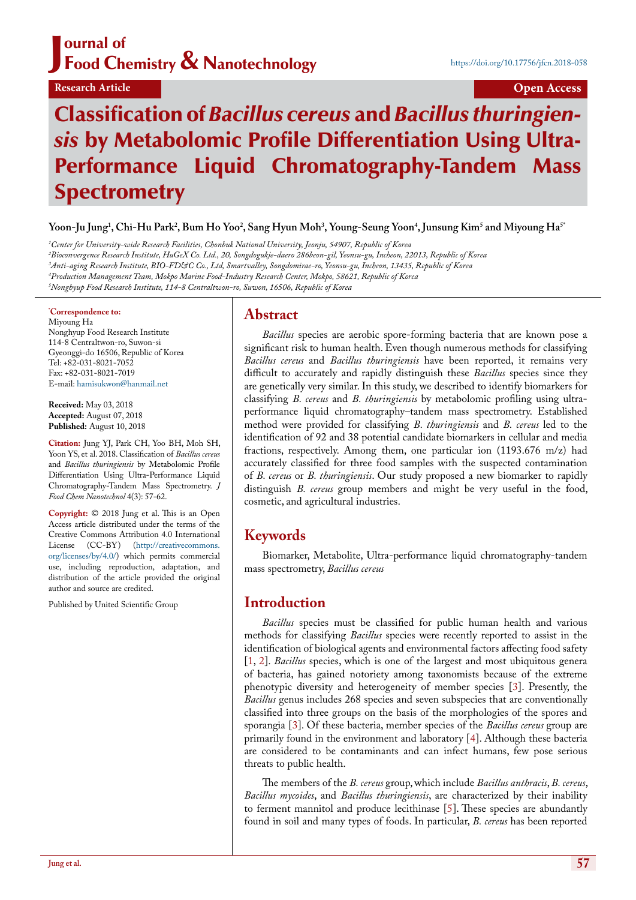# J ournal of Food Chemistry & Nanotechnology

# **Research Article Open Access**

# Classification of *Bacillus cereus* and *Bacillus thuringiensis* by Metabolomic Profile Differentiation Using Ultra-Performance Liquid Chromatography-Tandem Mass **Spectrometry**

**Yoon-Ju Jung1 , Chi-Hu Park2 , Bum Ho Yoo2 , Sang Hyun Moh3 , Young-Seung Yoon4 , Junsung Kim5 and Miyoung Ha5\***

 *Center for University-wide Research Facilities, Chonbuk National University, Jeonju, 54907, Republic of Korea Bioconvergence Research Institute, HuGeX Co. Ltd., 20, Songdogukje-daero 286beon-gil, Yeonsu-gu, Incheon, 22013, Republic of Korea Anti-aging Research Institute, BIO-FD&C Co., Ltd, Smartvalley, Songdomirae-ro, Yeonsu-gu, Incheon, 13435, Republic of Korea Production Management Team, Mokpo Marine Food-Industry Research Center, Mokpo, 58621, Republic of Korea Nonghyup Food Research Institute, 114-8 Centraltwon-ro, Suwon, 16506, Republic of Korea*

#### **\* Correspondence to:**

Miyoung Ha Nonghyup Food Research Institute 114-8 Centraltwon-ro, Suwon-si Gyeonggi-do 16506, Republic of Korea Tel: +82-031-8021-7052 Fax: +82-031-8021-7019 E-mail: [hamisukwon@hanmail.net](mailto:hamisukwon@hanmail.net)

**Received:** May 03, 2018 **Accepted:** August 07, 2018 **Published:** August 10, 2018

**Citation:** Jung YJ, Park CH, Yoo BH, Moh SH, Yoon YS, et al. 2018. Classification of *Bacillus cereus* and *Bacillus thuringiensis* by Metabolomic Profile Differentiation Using Ultra-Performance Liquid Chromatography-Tandem Mass Spectrometry. *J Food Chem Nanotechnol* 4(3): 57-62.

**Copyright:** © 2018 Jung et al. This is an Open Access article distributed under the terms of the Creative Commons Attribution 4.0 International License (CC-BY) [\(http://creativecommons.](http://creativecommons.org/licenses/by/4.0/) [org/licenses/by/4.0/\)](http://creativecommons.org/licenses/by/4.0/) which permits commercial use, including reproduction, adaptation, and distribution of the article provided the original author and source are credited.

Published by United Scientific Group

# **Abstract**

*Bacillus* species are aerobic spore-forming bacteria that are known pose a significant risk to human health. Even though numerous methods for classifying *Bacillus cereus* and *Bacillus thuringiensis* have been reported, it remains very difficult to accurately and rapidly distinguish these *Bacillus* species since they are genetically very similar. In this study, we described to identify biomarkers for classifying *B. cereus* and *B. thuringiensis* by metabolomic profiling using ultraperformance liquid chromatography–tandem mass spectrometry. Established method were provided for classifying *B. thuringiensis* and *B. cereus* led to the identification of 92 and 38 potential candidate biomarkers in cellular and media fractions, respectively. Among them, one particular ion (1193.676 m/z) had accurately classified for three food samples with the suspected contamination of *B. cereus* or *B. thuringiensis*. Our study proposed a new biomarker to rapidly distinguish *B. cereus* group members and might be very useful in the food, cosmetic, and agricultural industries.

# **Keywords**

Biomarker, Metabolite, Ultra-performance liquid chromatography-tandem mass spectrometry, *Bacillus cereus* 

## **Introduction**

*Bacillus* species must be classified for public human health and various methods for classifying *Bacillus* species were recently reported to assist in the identification of biological agents and environmental factors affecting food safety [\[1](#page-5-0), [2\]](#page-5-1). *Bacillus* species, which is one of the largest and most ubiquitous genera of bacteria, has gained notoriety among taxonomists because of the extreme phenotypic diversity and heterogeneity of member species [[3\]](#page-5-2). Presently, the *Bacillus* genus includes 268 species and seven subspecies that are conventionally classified into three groups on the basis of the morphologies of the spores and sporangia [[3\]](#page-5-2). Of these bacteria, member species of the *Bacillus cereus* group are primarily found in the environment and laboratory [\[4](#page-5-3)]. Although these bacteria are considered to be contaminants and can infect humans, few pose serious threats to public health.

The members of the *B. cereus* group, which include *Bacillus anthracis*, *B. cereus*, *Bacillus mycoides*, and *Bacillus thuringiensis*, are characterized by their inability to ferment mannitol and produce lecithinase [[5\]](#page-5-4). These species are abundantly found in soil and many types of foods. In particular, *B. cereus* has been reported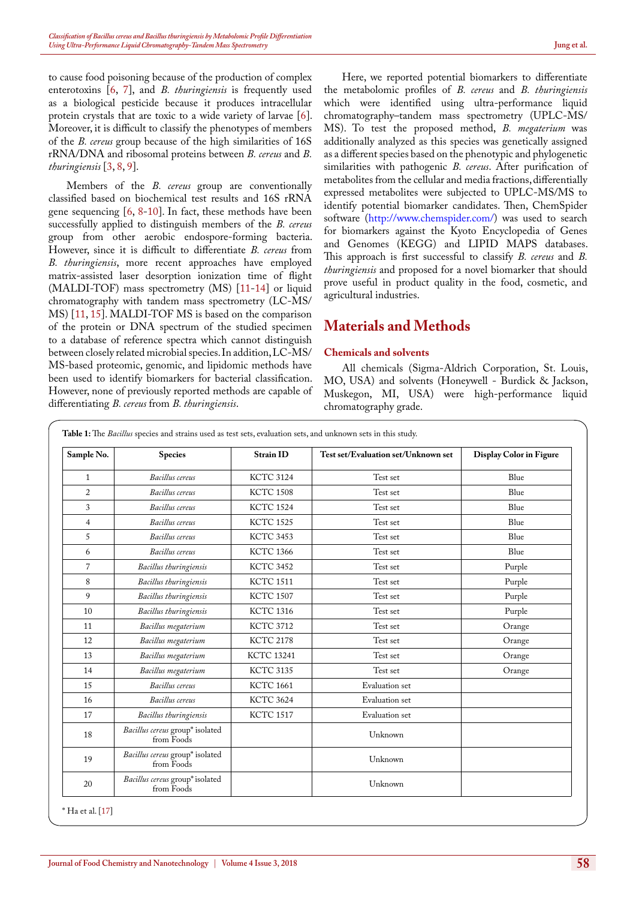to cause food poisoning because of the production of complex enterotoxins [\[6](#page-5-5), [7](#page-5-6)], and *B. thuringiensis* is frequently used as a biological pesticide because it produces intracellular protein crystals that are toxic to a wide variety of larvae  $[6]$  $[6]$ . Moreover, it is difficult to classify the phenotypes of members of the *B. cereus* group because of the high similarities of 16S rRNA/DNA and ribosomal proteins between *B. cereus* and *B. thuringiensis* [\[3](#page-5-2), [8,](#page-5-7) [9\]](#page-5-8).

Members of the *B. cereus* group are conventionally classified based on biochemical test results and 16S rRNA gene sequencing  $[6, 8\t{-}10]$  $[6, 8\t{-}10]$  $[6, 8\t{-}10]$  $[6, 8\t{-}10]$  $[6, 8\t{-}10]$ . In fact, these methods have been successfully applied to distinguish members of the *B. cereus*  group from other aerobic endospore-forming bacteria. However, since it is difficult to differentiate *B. cereus* from *B. thuringiensis*, more recent approaches have employed matrix-assisted laser desorption ionization time of flight (MALDI-TOF) mass spectrometry (MS) [[11-](#page-5-10)[14\]](#page-5-11) or liquid chromatography with tandem mass spectrometry (LC-MS/ MS) [\[11](#page-5-10), [15\]](#page-5-12). MALDI-TOF MS is based on the comparison of the protein or DNA spectrum of the studied specimen to a database of reference spectra which cannot distinguish between closely related microbial species. In addition, LC-MS/ MS-based proteomic, genomic, and lipidomic methods have been used to identify biomarkers for bacterial classification. However, none of previously reported methods are capable of differentiating *B. cereus* from *B. thuringiensis*.

Here, we reported potential biomarkers to differentiate the metabolomic profiles of *B. cereus* and *B. thuringiensis*  which were identified using ultra-performance liquid chromatography–tandem mass spectrometry (UPLC-MS/ MS). To test the proposed method, *B. megaterium* was additionally analyzed as this species was genetically assigned as a different species based on the phenotypic and phylogenetic similarities with pathogenic *B. cereus*. After purification of metabolites from the cellular and media fractions, differentially expressed metabolites were subjected to UPLC-MS/MS to identify potential biomarker candidates. Then, ChemSpider software (<http://www.chemspider.com/>) was used to search for biomarkers against the Kyoto Encyclopedia of Genes and Genomes (KEGG) and LIPID MAPS databases. This approach is first successful to classify *B. cereus* and *B. thuringiensis* and proposed for a novel biomarker that should prove useful in product quality in the food, cosmetic, and agricultural industries.

# **Materials and Methods**

#### **Chemicals and solvents**

All chemicals (Sigma-Aldrich Corporation, St. Louis, MO, USA) and solvents (Honeywell - Burdick & Jackson, Muskegon, MI, USA) were high-performance liquid chromatography grade.

<span id="page-1-0"></span>

| Sample No.     | <b>Species</b>                                | <b>Strain ID</b>  | Test set/Evaluation set/Unknown set | Display Color in Figure |
|----------------|-----------------------------------------------|-------------------|-------------------------------------|-------------------------|
| $\mathbf{1}$   | Bacillus cereus                               | <b>KCTC 3124</b>  | Test set                            | Blue                    |
| $\overline{2}$ | Bacillus cereus                               | <b>KCTC 1508</b>  | Test set                            | Blue                    |
| 3              | Bacillus cereus                               | <b>KCTC 1524</b>  | Test set                            | Blue                    |
| $\overline{4}$ | Bacillus cereus                               | <b>KCTC 1525</b>  | Test set                            | Blue                    |
| 5              | Bacillus cereus                               | <b>KCTC 3453</b>  | Test set                            | Blue                    |
| 6              | Bacillus cereus                               | <b>KCTC 1366</b>  | Test set                            | Blue                    |
| $\overline{7}$ | Bacillus thuringiensis                        | <b>KCTC 3452</b>  | Test set                            | Purple                  |
| 8              | Bacillus thuringiensis                        | <b>KCTC 1511</b>  | Test set                            | Purple                  |
| 9              | Bacillus thuringiensis                        | <b>KCTC 1507</b>  | Test set                            | Purple                  |
| 10             | Bacillus thuringiensis                        | <b>KCTC 1316</b>  | Test set                            | Purple                  |
| 11             | Bacillus megaterium                           | <b>KCTC 3712</b>  | Test set                            | Orange                  |
| 12             | Bacillus megaterium                           | <b>KCTC 2178</b>  | Test set                            | Orange                  |
| 13             | Bacillus megaterium                           | <b>KCTC 13241</b> | Test set                            | Orange                  |
| 14             | Bacillus megaterium                           | <b>KCTC 3135</b>  | Test set                            | Orange                  |
| 15             | Bacillus cereus                               | <b>KCTC 1661</b>  | Evaluation set                      |                         |
| 16             | Bacillus cereus                               | <b>KCTC 3624</b>  | Evaluation set                      |                         |
| 17             | Bacillus thuringiensis                        | <b>KCTC 1517</b>  | Evaluation set                      |                         |
| 18             | Bacillus cereus group* isolated<br>from Foods |                   | Unknown                             |                         |
| 19             | Bacillus cereus group* isolated<br>from Foods |                   | Unknown                             |                         |
| 20             | Bacillus cereus group* isolated<br>from Foods |                   | Unknown                             |                         |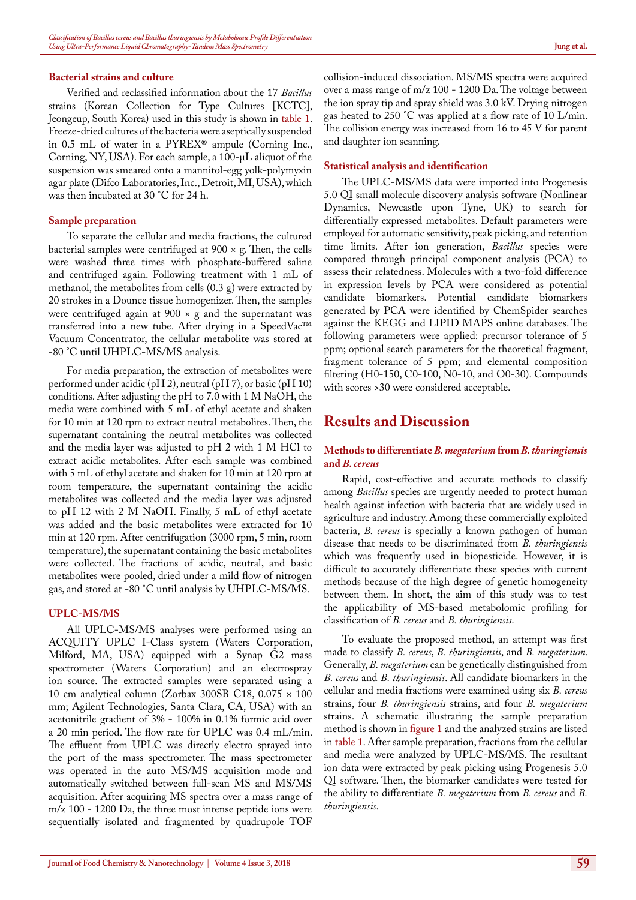#### **Bacterial strains and culture**

Verified and reclassified information about the 17 *Bacillus* strains (Korean Collection for Type Cultures [KCTC], Jeongeup, South Korea) used in this study is shown in [table 1](#page-1-0). Freeze-dried cultures of the bacteria were aseptically suspended in 0.5 mL of water in a PYREX® ampule (Corning Inc., Corning, NY, USA). For each sample, a 100-μL aliquot of the suspension was smeared onto a mannitol-egg yolk-polymyxin agar plate (Difco Laboratories, Inc., Detroit, MI, USA), which was then incubated at 30 ˚C for 24 h.

#### **Sample preparation**

To separate the cellular and media fractions, the cultured bacterial samples were centrifuged at  $900 \times g$ . Then, the cells were washed three times with phosphate-buffered saline and centrifuged again. Following treatment with 1 mL of methanol, the metabolites from cells (0.3 g) were extracted by 20 strokes in a Dounce tissue homogenizer. Then, the samples were centrifuged again at  $900 \times g$  and the supernatant was transferred into a new tube. After drying in a SpeedVac™ Vacuum Concentrator, the cellular metabolite was stored at -80 °C until UHPLC-MS/MS analysis.

For media preparation, the extraction of metabolites were performed under acidic (pH 2), neutral (pH 7), or basic (pH 10) conditions. After adjusting the pH to 7.0 with 1 M NaOH, the media were combined with 5 mL of ethyl acetate and shaken for 10 min at 120 rpm to extract neutral metabolites. Then, the supernatant containing the neutral metabolites was collected and the media layer was adjusted to pH 2 with 1 M HCl to extract acidic metabolites. After each sample was combined with 5 mL of ethyl acetate and shaken for 10 min at 120 rpm at room temperature, the supernatant containing the acidic metabolites was collected and the media layer was adjusted to pH 12 with 2 M NaOH. Finally, 5 mL of ethyl acetate was added and the basic metabolites were extracted for 10 min at 120 rpm. After centrifugation (3000 rpm, 5 min, room temperature), the supernatant containing the basic metabolites were collected. The fractions of acidic, neutral, and basic metabolites were pooled, dried under a mild flow of nitrogen gas, and stored at -80 ˚C until analysis by UHPLC-MS/MS.

#### **UPLC-MS/MS**

All UPLC-MS/MS analyses were performed using an ACQUITY UPLC I-Class system (Waters Corporation, Milford, MA, USA) equipped with a Synap G2 mass spectrometer (Waters Corporation) and an electrospray ion source. The extracted samples were separated using a 10 cm analytical column (Zorbax 300SB C18, 0.075 × 100 mm; Agilent Technologies, Santa Clara, CA, USA) with an acetonitrile gradient of 3% - 100% in 0.1% formic acid over a 20 min period. The flow rate for UPLC was 0.4 mL/min. The effluent from UPLC was directly electro sprayed into the port of the mass spectrometer. The mass spectrometer was operated in the auto MS/MS acquisition mode and automatically switched between full-scan MS and MS/MS acquisition. After acquiring MS spectra over a mass range of m/z 100 - 1200 Da, the three most intense peptide ions were sequentially isolated and fragmented by quadrupole TOF

collision-induced dissociation. MS/MS spectra were acquired over a mass range of m/z 100 - 1200 Da. The voltage between the ion spray tip and spray shield was 3.0 kV. Drying nitrogen gas heated to 250 °C was applied at a flow rate of 10 L/min. The collision energy was increased from 16 to 45 V for parent and daughter ion scanning.

#### **Statistical analysis and identification**

The UPLC-MS/MS data were imported into Progenesis 5.0 QI small molecule discovery analysis software (Nonlinear Dynamics, Newcastle upon Tyne, UK) to search for differentially expressed metabolites. Default parameters were employed for automatic sensitivity, peak picking, and retention time limits. After ion generation, *Bacillus* species were compared through principal component analysis (PCA) to assess their relatedness. Molecules with a two-fold difference in expression levels by PCA were considered as potential candidate biomarkers. Potential candidate biomarkers generated by PCA were identified by ChemSpider searches against the KEGG and LIPID MAPS online databases. The following parameters were applied: precursor tolerance of 5 ppm; optional search parameters for the theoretical fragment, fragment tolerance of 5 ppm; and elemental composition filtering (H0-150, C0-100, N0-10, and O0-30). Compounds with scores >30 were considered acceptable.

# **Results and Discussion**

#### **Methods to differentiate** *B. megaterium* **from** *B. thuringiensis*  **and** *B. cereus*

Rapid, cost-effective and accurate methods to classify among *Bacillus* species are urgently needed to protect human health against infection with bacteria that are widely used in agriculture and industry. Among these commercially exploited bacteria, *B. cereus* is specially a known pathogen of human disease that needs to be discriminated from *B. thuringiensis*  which was frequently used in biopesticide. However, it is difficult to accurately differentiate these species with current methods because of the high degree of genetic homogeneity between them. In short, the aim of this study was to test the applicability of MS-based metabolomic profiling for classification of *B. cereus* and *B. thuringiensis*.

To evaluate the proposed method, an attempt was first made to classify *B. cereus*, *B. thuringiensis*, and *B. megaterium*. Generally, *B. megaterium* can be genetically distinguished from *B. cereus* and *B. thuringiensis*. All candidate biomarkers in the cellular and media fractions were examined using six *B. cereus*  strains, four *B. thuringiensis* strains, and four *B. megaterium*  strains. A schematic illustrating the sample preparation method is shown in [figure 1](#page-3-0) and the analyzed strains are listed in [table 1.](#page-1-0) After sample preparation, fractions from the cellular and media were analyzed by UPLC-MS/MS. The resultant ion data were extracted by peak picking using Progenesis 5.0 QI software. Then, the biomarker candidates were tested for the ability to differentiate *B. megaterium* from *B. cereus* and *B. thuringiensis*.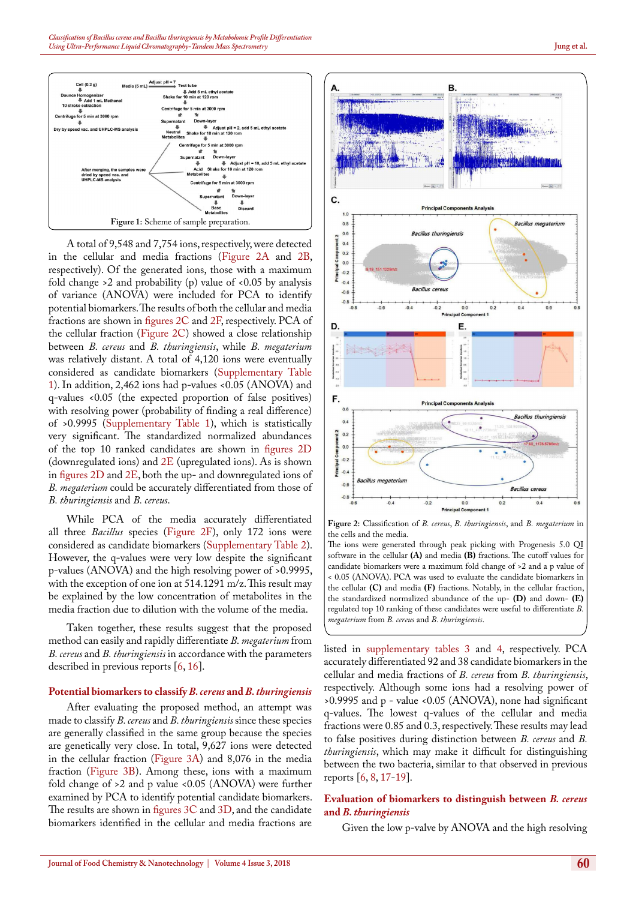

<span id="page-3-0"></span>A total of 9,548 and 7,754 ions, respectively, were detected in the cellular and media fractions ([Figure 2A](#page-3-1) and [2B](#page-3-1), respectively). Of the generated ions, those with a maximum fold change  $>2$  and probability (p) value of  $< 0.05$  by analysis of variance (ANOVA) were included for PCA to identify potential biomarkers. The results of both the cellular and media fractions are shown in [figures 2C](#page-3-1) and [2F,](#page-3-1) respectively. PCA of the cellular fraction ([Figure 2C\)](#page-3-1) showed a close relationship between *B. cereus* and *B. thuringiensis*, while *B. megaterium*  was relatively distant. A total of 4,120 ions were eventually considered as candidate biomarkers (Supplementary [Table](#page-1-0)  [1](#page-1-0)). In addition, 2,462 ions had p-values <0.05 (ANOVA) and q-values <0.05 (the expected proportion of false positives) with resolving power (probability of finding a real difference) of >0.9995 (Supplementary [Table 1\)](#page-1-0), which is statistically very significant. The standardized normalized abundances of the top 10 ranked candidates are shown in [figures 2D](#page-3-1) (downregulated ions) and  $2E$  (upregulated ions). As is shown in [figures 2D](#page-3-1) and [2](#page-3-1)E, both the up- and downregulated ions of *B. megaterium* could be accurately differentiated from those of *B. thuringiensis* and *B. cereus*.

While PCA of the media accurately differentiated all three *Bacillus* species [\(Figure 2F\)](#page-3-1), only 172 ions were considered as candidate biomarkers (Supplementary Table 2). However, the q-values were very low despite the significant p-values (ANOVA) and the high resolving power of >0.9995, with the exception of one ion at 514.1291 m/z. This result may be explained by the low concentration of metabolites in the media fraction due to dilution with the volume of the media.

Taken together, these results suggest that the proposed method can easily and rapidly differentiate *B. megaterium* from *B. cereus* and *B. thuringiensis* in accordance with the parameters described in previous reports [\[6](#page-5-5), [16\]](#page-5-14).

#### **Potential biomarkers to classify** *B. cereus* **and** *B. thuringiensis*

After evaluating the proposed method, an attempt was made to classify *B. cereus* and *B. thuringiensis* since these species are generally classified in the same group because the species are genetically very close. In total, 9,627 ions were detected in the cellular fraction ([Figure 3A](#page-4-0)) and 8,076 in the media fraction [\(Figure 3B\)](#page-4-0). Among these, ions with a maximum fold change of >2 and p value <0.05 (ANOVA) were further examined by PCA to identify potential candidate biomarkers. The results are shown in [figures 3C](#page-4-0) and [3D,](#page-4-0) and the candidate biomarkers identified in the cellular and media fractions are



<span id="page-3-1"></span>**Figure 2:** Classification of *B. cereus*, *B. thuringiensis*, and *B. megaterium* in the cells and the media. The ions were generated through peak picking with Progenesis 5.0 QI

software in the cellular **(A)** and media **(B)** fractions. The cutoff values for candidate biomarkers were a maximum fold change of >2 and a p value of < 0.05 (ANOVA). PCA was used to evaluate the candidate biomarkers in the cellular **(C)** and media **(F)** fractions. Notably, in the cellular fraction, the standardized normalized abundance of the up- **(D)** and down- **(E)**  regulated top 10 ranking of these candidates were useful to differentiate *B. megaterium* from *B. cereus* and *B. thuringiensis*.

listed in supplementary tables 3 and 4, respectively. PCA accurately differentiated 92 and 38 candidate biomarkers in the cellular and media fractions of *B. cereus* from *B. thuringiensis*, respectively. Although some ions had a resolving power of >0.9995 and p - value <0.05 (ANOVA), none had significant q-values. The lowest q-values of the cellular and media fractions were 0.85 and 0.3, respectively. These results may lead to false positives during distinction between *B. cereus* and *B. thuringiensis*, which may make it difficult for distinguishing between the two bacteria, similar to that observed in previous reports [\[6](#page-5-5), [8,](#page-5-7) [17](#page-5-13)[-19](#page-5-15)].

### **Evaluation of biomarkers to distinguish between** *B. cereus*  **and** *B. thuringiensis*

Given the low p-valve by ANOVA and the high resolving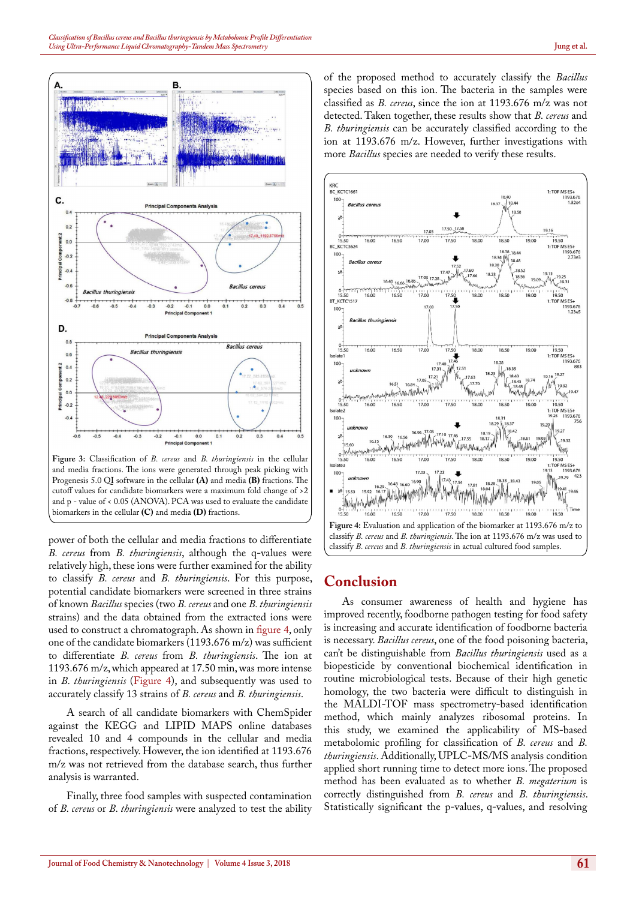

<span id="page-4-0"></span>**Figure 3:** Classification of *B. cereus* and *B. thuringiensis* in the cellular and media fractions. The ions were generated through peak picking with Progenesis 5.0 QI software in the cellular **(A)** and media **(B)** fractions. The cutoff values for candidate biomarkers were a maximum fold change of >2 and p - value of < 0.05 (ANOVA). PCA was used to evaluate the candidate biomarkers in the cellular **(C)** and media **(D)** fractions.

power of both the cellular and media fractions to differentiate *B. cereus* from *B. thuringiensis*, although the q-values were relatively high, these ions were further examined for the ability to classify *B. cereus* and *B. thuringiensis*. For this purpose, potential candidate biomarkers were screened in three strains of known *Bacillus* species (two *B. cereus* and one *B. thuringiensis*  strains) and the data obtained from the extracted ions were used to construct a chromatograph. As shown in [figure 4](#page-4-1), only one of the candidate biomarkers (1193.676 m/z) was sufficient to differentiate *B. cereus* from *B. thuringiensis*. The ion at 1193.676 m/z, which appeared at 17.50 min, was more intense in *B. thuringiensis* ([Figure 4](#page-4-1)), and subsequently was used to accurately classify 13 strains of *B. cereus* and *B. thuringiensis*.

A search of all candidate biomarkers with ChemSpider against the KEGG and LIPID MAPS online databases revealed 10 and 4 compounds in the cellular and media fractions, respectively. However, the ion identified at 1193.676 m/z was not retrieved from the database search, thus further analysis is warranted.

Finally, three food samples with suspected contamination of *B. cereus* or *B. thuringiensis* were analyzed to test the ability

of the proposed method to accurately classify the *Bacillus* species based on this ion. The bacteria in the samples were classified as *B. cereus*, since the ion at 1193.676 m/z was not detected. Taken together, these results show that *B. cereus* and *B. thuringiensis* can be accurately classified according to the ion at 1193.676 m/z. However, further investigations with more *Bacillus* species are needed to verify these results.



# <span id="page-4-1"></span>**Conclusion**

As consumer awareness of health and hygiene has improved recently, foodborne pathogen testing for food safety is increasing and accurate identification of foodborne bacteria is necessary. *Bacillus cereus*, one of the food poisoning bacteria, can't be distinguishable from *Bacillus thuringiensis* used as a biopesticide by conventional biochemical identification in routine microbiological tests. Because of their high genetic homology, the two bacteria were difficult to distinguish in the MALDI-TOF mass spectrometry-based identification method, which mainly analyzes ribosomal proteins. In this study, we examined the applicability of MS-based metabolomic profiling for classification of *B. cereus* and *B. thuringiensis*. Additionally, UPLC-MS/MS analysis condition applied short running time to detect more ions. The proposed method has been evaluated as to whether *B. megaterium* is correctly distinguished from *B. cereus* and *B. thuringiensis*. Statistically significant the p-values, q-values, and resolving